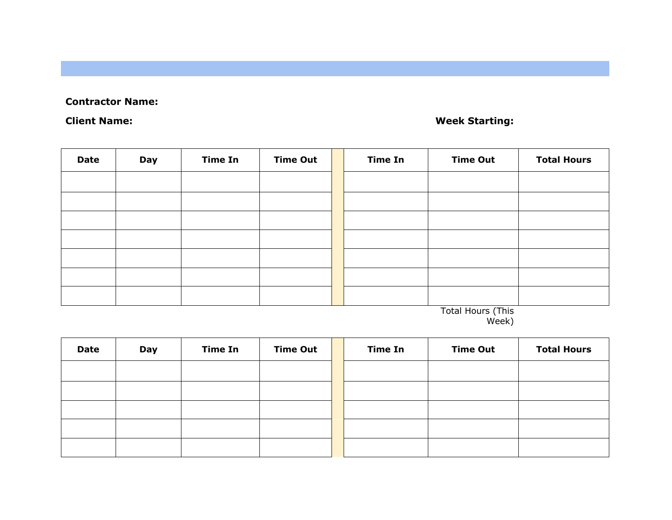## **Contractor Name:**

## **Client Name: Week Starting:**

| <b>Date</b> | Day | <b>Time In</b> | <b>Time Out</b> | <b>Time In</b> | <b>Time Out</b>   | <b>Total Hours</b> |
|-------------|-----|----------------|-----------------|----------------|-------------------|--------------------|
|             |     |                |                 |                |                   |                    |
|             |     |                |                 |                |                   |                    |
|             |     |                |                 |                |                   |                    |
|             |     |                |                 |                |                   |                    |
|             |     |                |                 |                |                   |                    |
|             |     |                |                 |                |                   |                    |
|             |     |                |                 |                |                   |                    |
|             |     |                |                 |                | Total Houre (Thie |                    |

Total Hours (This Week)

| <b>Date</b> | Day | <b>Time In</b> | <b>Time Out</b> | <b>Time In</b> | <b>Time Out</b> | <b>Total Hours</b> |
|-------------|-----|----------------|-----------------|----------------|-----------------|--------------------|
|             |     |                |                 |                |                 |                    |
|             |     |                |                 |                |                 |                    |
|             |     |                |                 |                |                 |                    |
|             |     |                |                 |                |                 |                    |
|             |     |                |                 |                |                 |                    |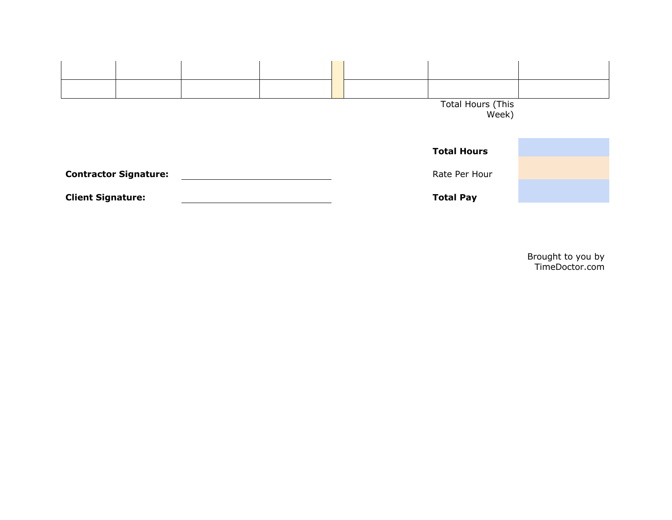

Brought to you by TimeDoctor.com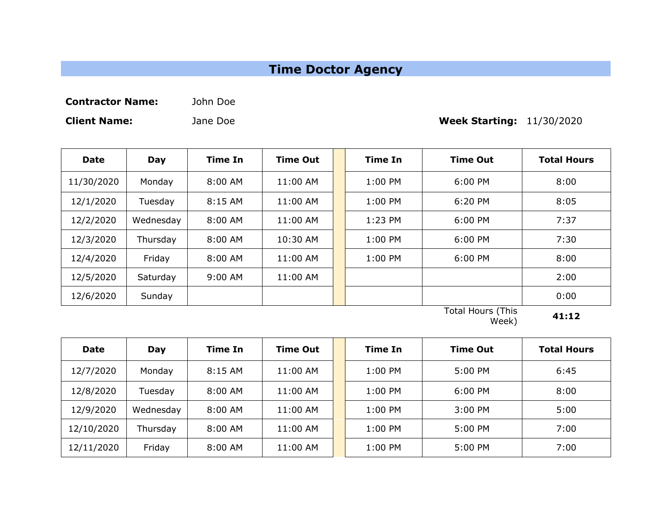## **Time Doctor Agency**

**Contractor Name:** John Doe

**Client Name:** Jane Doe **Week Starting:** 11/30/2020

| <b>Date</b> | Day       | <b>Time In</b> | <b>Time Out</b> | <b>Time In</b> | <b>Time Out</b>   | <b>Total Hours</b> |
|-------------|-----------|----------------|-----------------|----------------|-------------------|--------------------|
| 11/30/2020  | Monday    | 8:00 AM        | 11:00 AM        | $1:00$ PM      | 6:00 PM           | 8:00               |
| 12/1/2020   | Tuesday   | 8:15 AM        | 11:00 AM        | $1:00$ PM      | 6:20 PM           | 8:05               |
| 12/2/2020   | Wednesday | 8:00 AM        | 11:00 AM        | 1:23 PM        | 6:00 PM           | 7:37               |
| 12/3/2020   | Thursday  | 8:00 AM        | 10:30 AM        | $1:00$ PM      | $6:00$ PM         | 7:30               |
| 12/4/2020   | Friday    | 8:00 AM        | 11:00 AM        | 1:00 PM        | 6:00 PM           | 8:00               |
| 12/5/2020   | Saturday  | $9:00$ AM      | 11:00 AM        |                |                   | 2:00               |
| 12/6/2020   | Sunday    |                |                 |                |                   | 0:00               |
|             |           |                |                 |                | Total Houre (Thie |                    |

Total Hours (This Week) **41:12**

| <b>Date</b> | Day       | <b>Time In</b> | <b>Time Out</b> | Time In   | Time Out  | <b>Total Hours</b> |
|-------------|-----------|----------------|-----------------|-----------|-----------|--------------------|
| 12/7/2020   | Monday    | 8:15 AM        | 11:00 AM        | $1:00$ PM | $5:00$ PM | 6:45               |
| 12/8/2020   | Tuesday   | $8:00$ AM      | 11:00 AM        | $1:00$ PM | $6:00$ PM | 8:00               |
| 12/9/2020   | Wednesday | $8:00$ AM      | $11:00$ AM      | $1:00$ PM | $3:00$ PM | 5:00               |
| 12/10/2020  | Thursday  | $8:00$ AM      | 11:00 AM        | $1:00$ PM | $5:00$ PM | 7:00               |
| 12/11/2020  | Friday    | 8:00 AM        | 11:00 AM        | 1:00 PM   | 5:00 PM   | 7:00               |